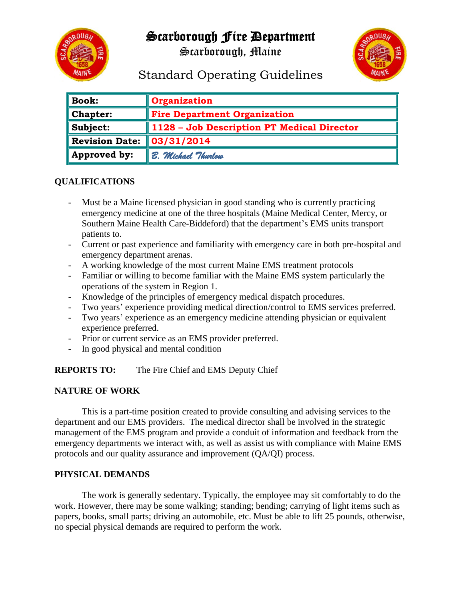## Scarborough Fire Department



Scarborough, Maine



# Standard Operating Guidelines

| $\parallel$ Book:        | Organization                               |
|--------------------------|--------------------------------------------|
| $\blacksquare$ Chapter:  | <b>Fire Department Organization</b>        |
| $\ $ Subject:            | 1128 - Job Description PT Medical Director |
| Revision Date:           | 03/31/2014                                 |
| $\parallel$ Approved by: | B. Michael Thurlow                         |

## **QUALIFICATIONS**

- Must be a Maine licensed physician in good standing who is currently practicing emergency medicine at one of the three hospitals (Maine Medical Center, Mercy, or Southern Maine Health Care-Biddeford) that the department's EMS units transport patients to.
- Current or past experience and familiarity with emergency care in both pre-hospital and emergency department arenas.
- A working knowledge of the most current Maine EMS treatment protocols
- Familiar or willing to become familiar with the Maine EMS system particularly the operations of the system in Region 1.
- Knowledge of the principles of emergency medical dispatch procedures.
- Two years' experience providing medical direction/control to EMS services preferred.
- Two years' experience as an emergency medicine attending physician or equivalent experience preferred.
- Prior or current service as an EMS provider preferred.
- In good physical and mental condition

**REPORTS TO:** The Fire Chief and EMS Deputy Chief

### **NATURE OF WORK**

This is a part-time position created to provide consulting and advising services to the department and our EMS providers. The medical director shall be involved in the strategic management of the EMS program and provide a conduit of information and feedback from the emergency departments we interact with, as well as assist us with compliance with Maine EMS protocols and our quality assurance and improvement (QA/QI) process.

### **PHYSICAL DEMANDS**

The work is generally sedentary. Typically, the employee may sit comfortably to do the work. However, there may be some walking; standing; bending; carrying of light items such as papers, books, small parts; driving an automobile, etc. Must be able to lift 25 pounds, otherwise, no special physical demands are required to perform the work.